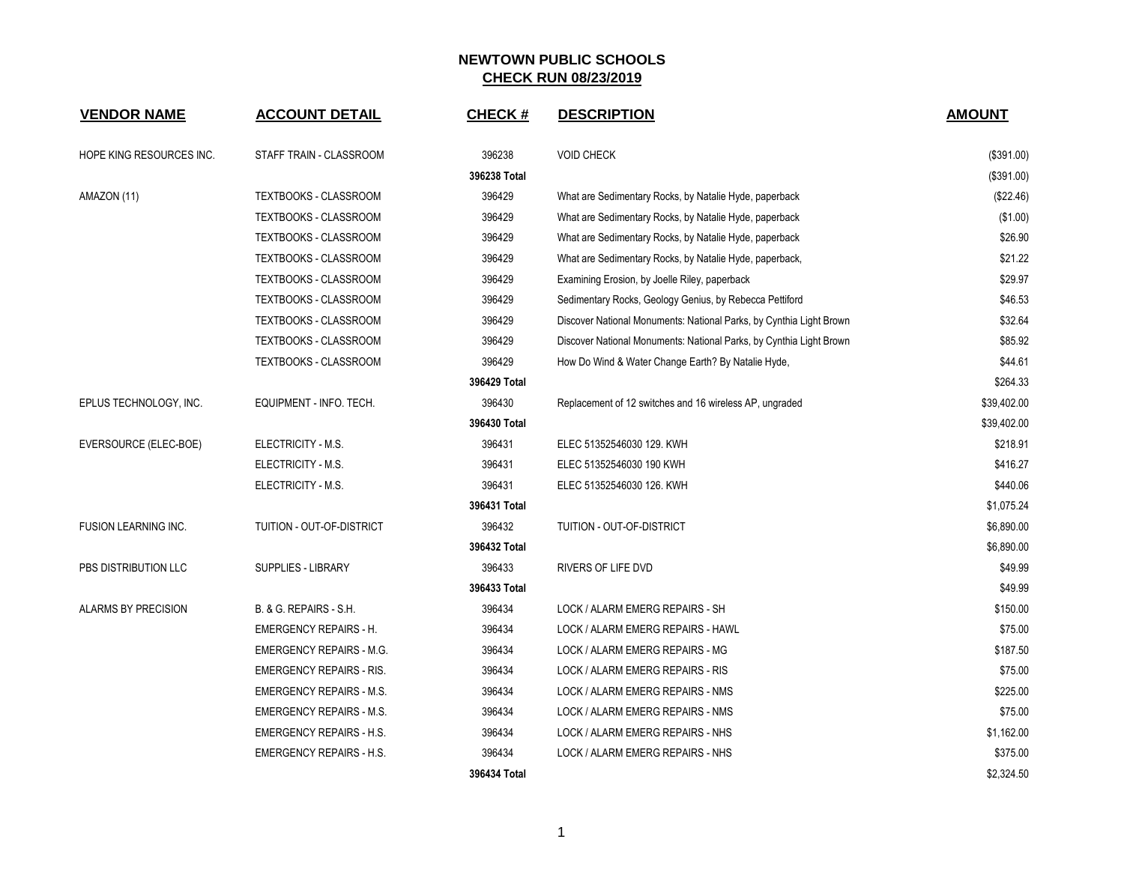| <b>VENDOR NAME</b>          | <b>ACCOUNT DETAIL</b>           | <b>CHECK#</b> | <b>DESCRIPTION</b>                                                  | <b>AMOUNT</b> |
|-----------------------------|---------------------------------|---------------|---------------------------------------------------------------------|---------------|
| HOPE KING RESOURCES INC.    | STAFF TRAIN - CLASSROOM         | 396238        | <b>VOID CHECK</b>                                                   | (\$391.00)    |
|                             |                                 | 396238 Total  |                                                                     | (\$391.00)    |
| AMAZON (11)                 | <b>TEXTBOOKS - CLASSROOM</b>    | 396429        | What are Sedimentary Rocks, by Natalie Hyde, paperback              | (\$22.46)     |
|                             | TEXTBOOKS - CLASSROOM           | 396429        | What are Sedimentary Rocks, by Natalie Hyde, paperback              | (\$1.00)      |
|                             | TEXTBOOKS - CLASSROOM           | 396429        | What are Sedimentary Rocks, by Natalie Hyde, paperback              | \$26.90       |
|                             | TEXTBOOKS - CLASSROOM           | 396429        | What are Sedimentary Rocks, by Natalie Hyde, paperback,             | \$21.22       |
|                             | TEXTBOOKS - CLASSROOM           | 396429        | Examining Erosion, by Joelle Riley, paperback                       | \$29.97       |
|                             | TEXTBOOKS - CLASSROOM           | 396429        | Sedimentary Rocks, Geology Genius, by Rebecca Pettiford             | \$46.53       |
|                             | <b>TEXTBOOKS - CLASSROOM</b>    | 396429        | Discover National Monuments: National Parks, by Cynthia Light Brown | \$32.64       |
|                             | TEXTBOOKS - CLASSROOM           | 396429        | Discover National Monuments: National Parks, by Cynthia Light Brown | \$85.92       |
|                             | <b>TEXTBOOKS - CLASSROOM</b>    | 396429        | How Do Wind & Water Change Earth? By Natalie Hyde,                  | \$44.61       |
|                             |                                 | 396429 Total  |                                                                     | \$264.33      |
| EPLUS TECHNOLOGY, INC.      | EQUIPMENT - INFO. TECH.         | 396430        | Replacement of 12 switches and 16 wireless AP, ungraded             | \$39,402.00   |
|                             |                                 | 396430 Total  |                                                                     | \$39,402.00   |
| EVERSOURCE (ELEC-BOE)       | ELECTRICITY - M.S.              | 396431        | ELEC 51352546030 129. KWH                                           | \$218.91      |
|                             | ELECTRICITY - M.S.              | 396431        | ELEC 51352546030 190 KWH                                            | \$416.27      |
|                             | ELECTRICITY - M.S.              | 396431        | ELEC 51352546030 126. KWH                                           | \$440.06      |
|                             |                                 | 396431 Total  |                                                                     | \$1,075.24    |
| <b>FUSION LEARNING INC.</b> | TUITION - OUT-OF-DISTRICT       | 396432        | TUITION - OUT-OF-DISTRICT                                           | \$6,890.00    |
|                             |                                 | 396432 Total  |                                                                     | \$6,890.00    |
| PBS DISTRIBUTION LLC        | <b>SUPPLIES - LIBRARY</b>       | 396433        | <b>RIVERS OF LIFE DVD</b>                                           | \$49.99       |
|                             |                                 | 396433 Total  |                                                                     | \$49.99       |
| <b>ALARMS BY PRECISION</b>  | B. & G. REPAIRS - S.H.          | 396434        | LOCK / ALARM EMERG REPAIRS - SH                                     | \$150.00      |
|                             | <b>EMERGENCY REPAIRS - H.</b>   | 396434        | LOCK / ALARM EMERG REPAIRS - HAWL                                   | \$75.00       |
|                             | <b>EMERGENCY REPAIRS - M.G.</b> | 396434        | LOCK / ALARM EMERG REPAIRS - MG                                     | \$187.50      |
|                             | <b>EMERGENCY REPAIRS - RIS.</b> | 396434        | LOCK / ALARM EMERG REPAIRS - RIS                                    | \$75.00       |
|                             | <b>EMERGENCY REPAIRS - M.S.</b> | 396434        | LOCK / ALARM EMERG REPAIRS - NMS                                    | \$225.00      |
|                             | EMERGENCY REPAIRS - M.S.        | 396434        | LOCK / ALARM EMERG REPAIRS - NMS                                    | \$75.00       |
|                             | <b>EMERGENCY REPAIRS - H.S.</b> | 396434        | LOCK / ALARM EMERG REPAIRS - NHS                                    | \$1,162.00    |
|                             | <b>EMERGENCY REPAIRS - H.S.</b> | 396434        | LOCK / ALARM EMERG REPAIRS - NHS                                    | \$375.00      |
|                             |                                 | 396434 Total  |                                                                     | \$2,324.50    |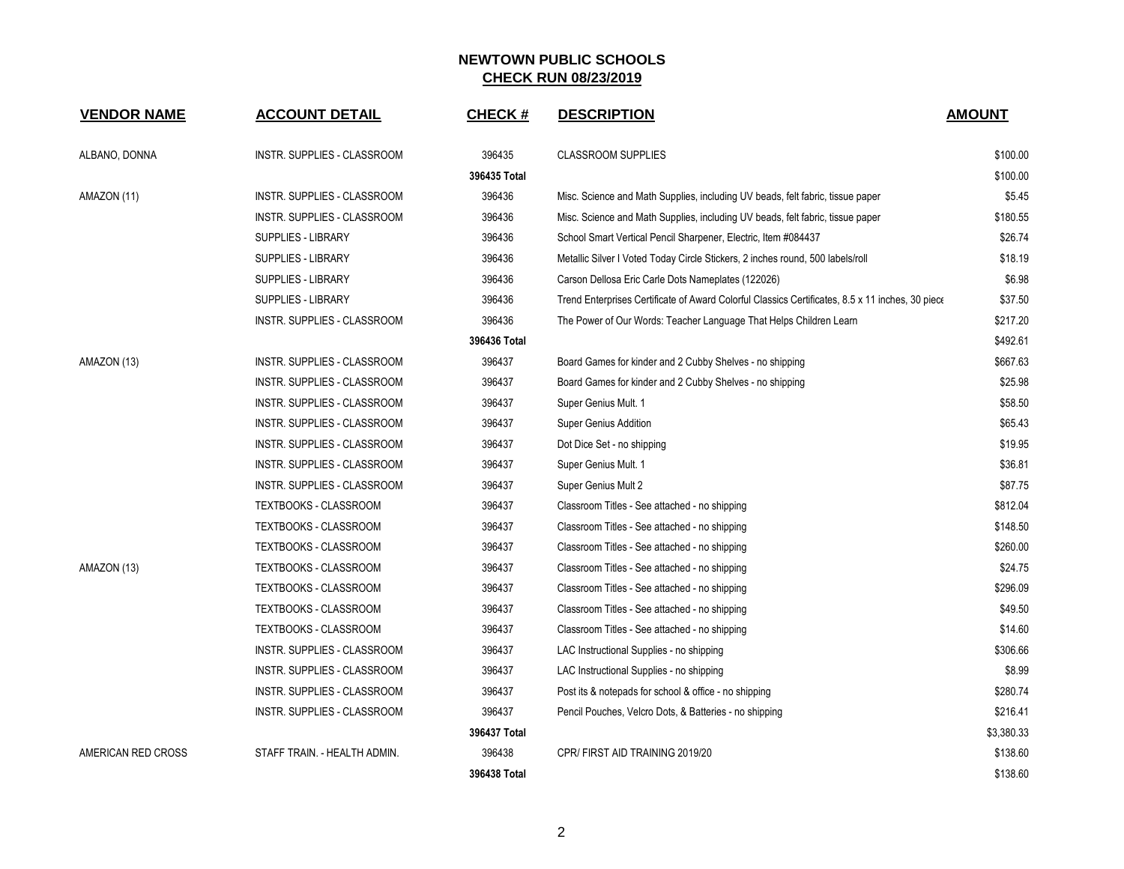| <b>VENDOR NAME</b> | <b>ACCOUNT DETAIL</b>        | <b>CHECK#</b> | <b>DESCRIPTION</b>                                                                               | <b>AMOUNT</b> |
|--------------------|------------------------------|---------------|--------------------------------------------------------------------------------------------------|---------------|
| ALBANO, DONNA      | INSTR. SUPPLIES - CLASSROOM  | 396435        | <b>CLASSROOM SUPPLIES</b>                                                                        | \$100.00      |
|                    |                              | 396435 Total  |                                                                                                  | \$100.00      |
| AMAZON (11)        | INSTR. SUPPLIES - CLASSROOM  | 396436        | Misc. Science and Math Supplies, including UV beads, felt fabric, tissue paper                   | \$5.45        |
|                    | INSTR. SUPPLIES - CLASSROOM  | 396436        | Misc. Science and Math Supplies, including UV beads, felt fabric, tissue paper                   | \$180.55      |
|                    | <b>SUPPLIES - LIBRARY</b>    | 396436        | School Smart Vertical Pencil Sharpener, Electric, Item #084437                                   | \$26.74       |
|                    | <b>SUPPLIES - LIBRARY</b>    | 396436        | Metallic Silver I Voted Today Circle Stickers, 2 inches round, 500 labels/roll                   | \$18.19       |
|                    | <b>SUPPLIES - LIBRARY</b>    | 396436        | Carson Dellosa Eric Carle Dots Nameplates (122026)                                               | \$6.98        |
|                    | SUPPLIES - LIBRARY           | 396436        | Trend Enterprises Certificate of Award Colorful Classics Certificates, 8.5 x 11 inches, 30 piece | \$37.50       |
|                    | INSTR. SUPPLIES - CLASSROOM  | 396436        | The Power of Our Words: Teacher Language That Helps Children Learn                               | \$217.20      |
|                    |                              | 396436 Total  |                                                                                                  | \$492.61      |
| AMAZON (13)        | INSTR. SUPPLIES - CLASSROOM  | 396437        | Board Games for kinder and 2 Cubby Shelves - no shipping                                         | \$667.63      |
|                    | INSTR. SUPPLIES - CLASSROOM  | 396437        | Board Games for kinder and 2 Cubby Shelves - no shipping                                         | \$25.98       |
|                    | INSTR. SUPPLIES - CLASSROOM  | 396437        | Super Genius Mult. 1                                                                             | \$58.50       |
|                    | INSTR. SUPPLIES - CLASSROOM  | 396437        | <b>Super Genius Addition</b>                                                                     | \$65.43       |
|                    | INSTR. SUPPLIES - CLASSROOM  | 396437        | Dot Dice Set - no shipping                                                                       | \$19.95       |
|                    | INSTR. SUPPLIES - CLASSROOM  | 396437        | Super Genius Mult. 1                                                                             | \$36.81       |
|                    | INSTR. SUPPLIES - CLASSROOM  | 396437        | Super Genius Mult 2                                                                              | \$87.75       |
|                    | TEXTBOOKS - CLASSROOM        | 396437        | Classroom Titles - See attached - no shipping                                                    | \$812.04      |
|                    | TEXTBOOKS - CLASSROOM        | 396437        | Classroom Titles - See attached - no shipping                                                    | \$148.50      |
|                    | TEXTBOOKS - CLASSROOM        | 396437        | Classroom Titles - See attached - no shipping                                                    | \$260.00      |
| AMAZON (13)        | TEXTBOOKS - CLASSROOM        | 396437        | Classroom Titles - See attached - no shipping                                                    | \$24.75       |
|                    | TEXTBOOKS - CLASSROOM        | 396437        | Classroom Titles - See attached - no shipping                                                    | \$296.09      |
|                    | TEXTBOOKS - CLASSROOM        | 396437        | Classroom Titles - See attached - no shipping                                                    | \$49.50       |
|                    | TEXTBOOKS - CLASSROOM        | 396437        | Classroom Titles - See attached - no shipping                                                    | \$14.60       |
|                    | INSTR. SUPPLIES - CLASSROOM  | 396437        | LAC Instructional Supplies - no shipping                                                         | \$306.66      |
|                    | INSTR. SUPPLIES - CLASSROOM  | 396437        | LAC Instructional Supplies - no shipping                                                         | \$8.99        |
|                    | INSTR. SUPPLIES - CLASSROOM  | 396437        | Post its & notepads for school & office - no shipping                                            | \$280.74      |
|                    | INSTR. SUPPLIES - CLASSROOM  | 396437        | Pencil Pouches, Velcro Dots, & Batteries - no shipping                                           | \$216.41      |
|                    |                              | 396437 Total  |                                                                                                  | \$3,380.33    |
| AMERICAN RED CROSS | STAFF TRAIN. - HEALTH ADMIN. | 396438        | CPR/FIRST AID TRAINING 2019/20                                                                   | \$138.60      |
|                    |                              | 396438 Total  |                                                                                                  | \$138.60      |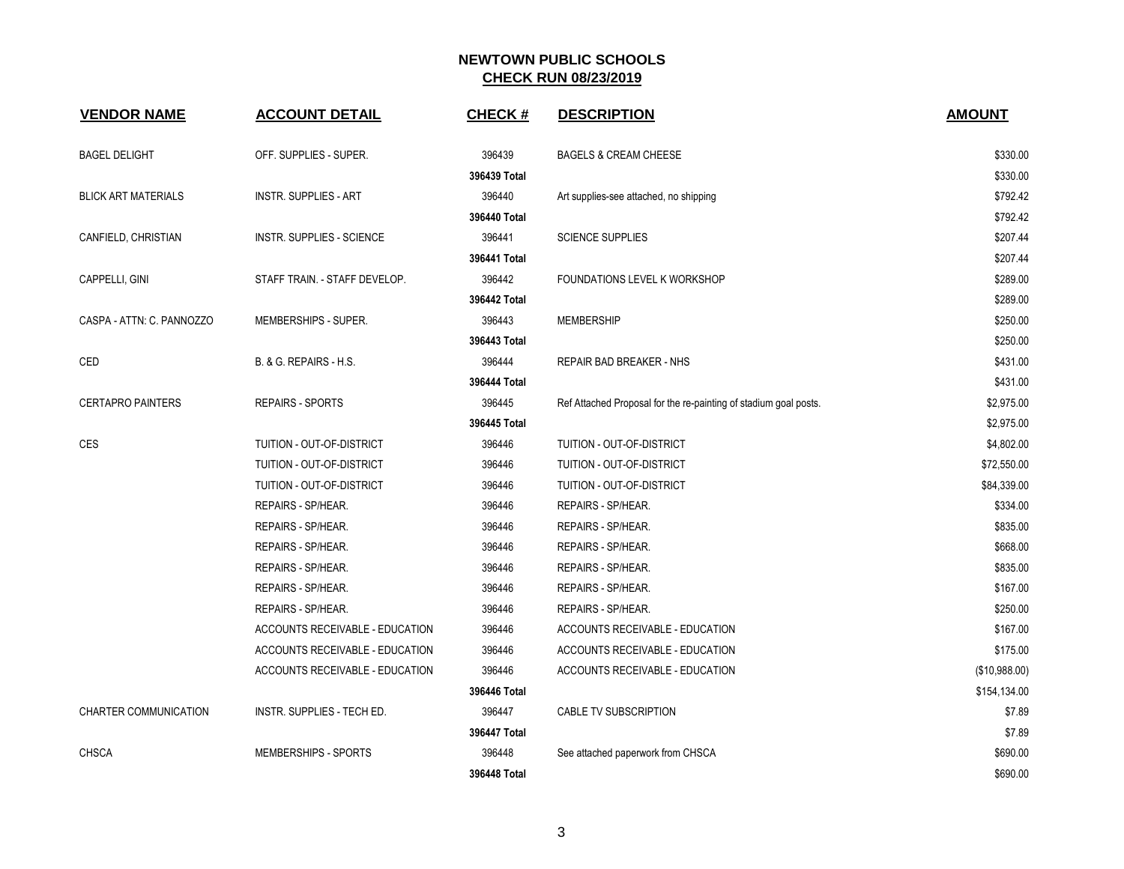| <b>VENDOR NAME</b>         | <b>ACCOUNT DETAIL</b>            | <b>CHECK#</b> | <b>DESCRIPTION</b>                                               | <b>AMOUNT</b> |
|----------------------------|----------------------------------|---------------|------------------------------------------------------------------|---------------|
| <b>BAGEL DELIGHT</b>       | OFF. SUPPLIES - SUPER.           | 396439        | <b>BAGELS &amp; CREAM CHEESE</b>                                 | \$330.00      |
|                            |                                  | 396439 Total  |                                                                  | \$330.00      |
| <b>BLICK ART MATERIALS</b> | <b>INSTR. SUPPLIES - ART</b>     | 396440        | Art supplies-see attached, no shipping                           | \$792.42      |
|                            |                                  | 396440 Total  |                                                                  | \$792.42      |
| CANFIELD, CHRISTIAN        | <b>INSTR. SUPPLIES - SCIENCE</b> | 396441        | <b>SCIENCE SUPPLIES</b>                                          | \$207.44      |
|                            |                                  | 396441 Total  |                                                                  | \$207.44      |
| CAPPELLI, GINI             | STAFF TRAIN. - STAFF DEVELOP.    | 396442        | <b>FOUNDATIONS LEVEL K WORKSHOP</b>                              | \$289.00      |
|                            |                                  | 396442 Total  |                                                                  | \$289.00      |
| CASPA - ATTN: C. PANNOZZO  | MEMBERSHIPS - SUPER.             | 396443        | <b>MEMBERSHIP</b>                                                | \$250.00      |
|                            |                                  | 396443 Total  |                                                                  | \$250.00      |
| CED                        | B. & G. REPAIRS - H.S.           | 396444        | REPAIR BAD BREAKER - NHS                                         | \$431.00      |
|                            |                                  | 396444 Total  |                                                                  | \$431.00      |
| <b>CERTAPRO PAINTERS</b>   | <b>REPAIRS - SPORTS</b>          | 396445        | Ref Attached Proposal for the re-painting of stadium goal posts. | \$2,975.00    |
|                            |                                  | 396445 Total  |                                                                  | \$2,975.00    |
| <b>CES</b>                 | TUITION - OUT-OF-DISTRICT        | 396446        | TUITION - OUT-OF-DISTRICT                                        | \$4,802.00    |
|                            | TUITION - OUT-OF-DISTRICT        | 396446        | TUITION - OUT-OF-DISTRICT                                        | \$72,550.00   |
|                            | TUITION - OUT-OF-DISTRICT        | 396446        | TUITION - OUT-OF-DISTRICT                                        | \$84,339.00   |
|                            | REPAIRS - SP/HEAR.               | 396446        | REPAIRS - SP/HEAR.                                               | \$334.00      |
|                            | REPAIRS - SP/HEAR.               | 396446        | REPAIRS - SP/HEAR.                                               | \$835.00      |
|                            | REPAIRS - SP/HEAR.               | 396446        | REPAIRS - SP/HEAR.                                               | \$668.00      |
|                            | REPAIRS - SP/HEAR.               | 396446        | REPAIRS - SP/HEAR.                                               | \$835.00      |
|                            | REPAIRS - SP/HEAR.               | 396446        | REPAIRS - SP/HEAR.                                               | \$167.00      |
|                            | REPAIRS - SP/HEAR.               | 396446        | REPAIRS - SP/HEAR.                                               | \$250.00      |
|                            | ACCOUNTS RECEIVABLE - EDUCATION  | 396446        | ACCOUNTS RECEIVABLE - EDUCATION                                  | \$167.00      |
|                            | ACCOUNTS RECEIVABLE - EDUCATION  | 396446        | ACCOUNTS RECEIVABLE - EDUCATION                                  | \$175.00      |
|                            | ACCOUNTS RECEIVABLE - EDUCATION  | 396446        | ACCOUNTS RECEIVABLE - EDUCATION                                  | (\$10,988.00) |
|                            |                                  | 396446 Total  |                                                                  | \$154,134.00  |
| CHARTER COMMUNICATION      | INSTR. SUPPLIES - TECH ED.       | 396447        | CABLE TV SUBSCRIPTION                                            | \$7.89        |
|                            |                                  | 396447 Total  |                                                                  | \$7.89        |
| <b>CHSCA</b>               | MEMBERSHIPS - SPORTS             | 396448        | See attached paperwork from CHSCA                                | \$690.00      |
|                            |                                  | 396448 Total  |                                                                  | \$690.00      |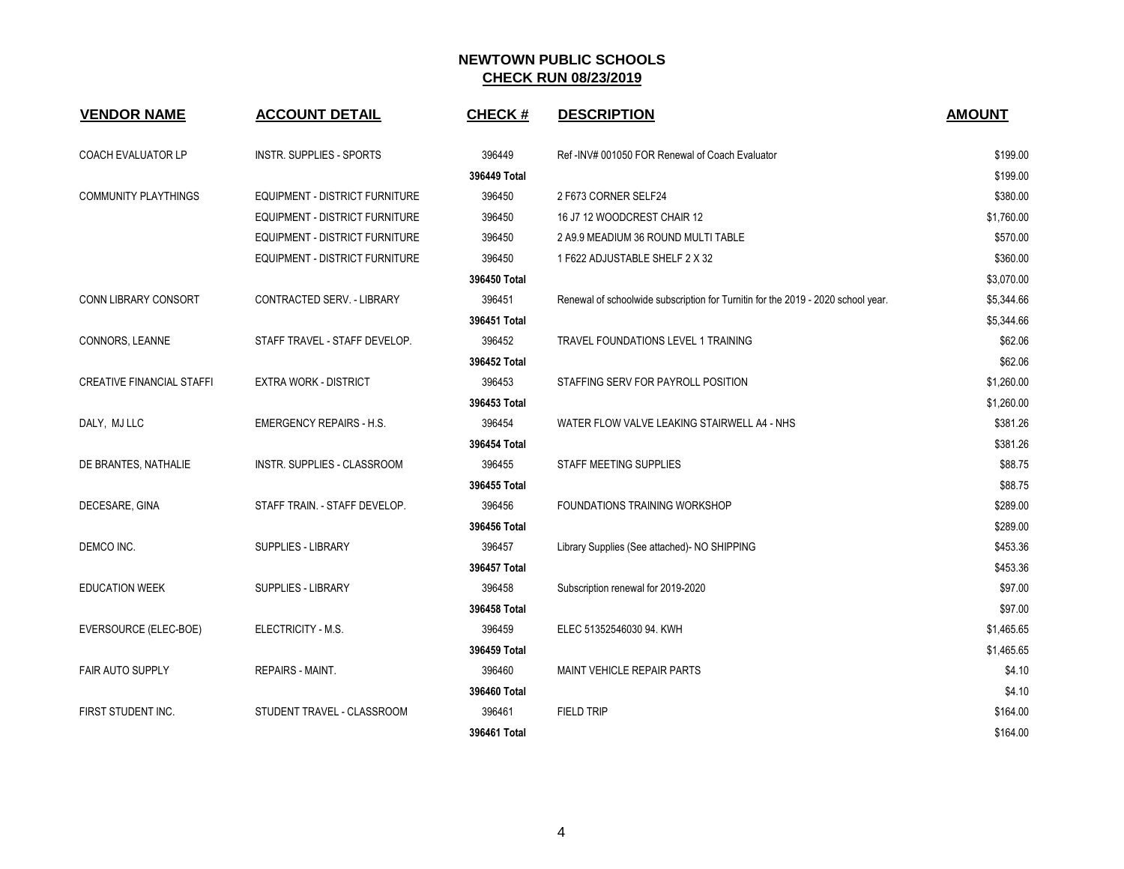| <b>VENDOR NAME</b>               | <b>ACCOUNT DETAIL</b>           | <b>CHECK#</b> | <b>DESCRIPTION</b>                                                               | <b>AMOUNT</b> |
|----------------------------------|---------------------------------|---------------|----------------------------------------------------------------------------------|---------------|
| COACH EVALUATOR LP               | INSTR. SUPPLIES - SPORTS        | 396449        | Ref-INV# 001050 FOR Renewal of Coach Evaluator                                   | \$199.00      |
|                                  |                                 | 396449 Total  |                                                                                  | \$199.00      |
| <b>COMMUNITY PLAYTHINGS</b>      | EQUIPMENT - DISTRICT FURNITURE  | 396450        | 2 F673 CORNER SELF24                                                             | \$380.00      |
|                                  | EQUIPMENT - DISTRICT FURNITURE  | 396450        | 16 J7 12 WOODCREST CHAIR 12                                                      | \$1,760.00    |
|                                  | EQUIPMENT - DISTRICT FURNITURE  | 396450        | 2 A9.9 MEADIUM 36 ROUND MULTI TABLE                                              | \$570.00      |
|                                  | EQUIPMENT - DISTRICT FURNITURE  | 396450        | 1 F622 ADJUSTABLE SHELF 2 X 32                                                   | \$360.00      |
|                                  |                                 | 396450 Total  |                                                                                  | \$3,070.00    |
| CONN LIBRARY CONSORT             | CONTRACTED SERV. - LIBRARY      | 396451        | Renewal of schoolwide subscription for Turnitin for the 2019 - 2020 school year. | \$5,344.66    |
|                                  |                                 | 396451 Total  |                                                                                  | \$5,344.66    |
| CONNORS, LEANNE                  | STAFF TRAVEL - STAFF DEVELOP.   | 396452        | TRAVEL FOUNDATIONS LEVEL 1 TRAINING                                              | \$62.06       |
|                                  |                                 | 396452 Total  |                                                                                  | \$62.06       |
| <b>CREATIVE FINANCIAL STAFFI</b> | <b>EXTRA WORK - DISTRICT</b>    | 396453        | STAFFING SERV FOR PAYROLL POSITION                                               | \$1,260.00    |
|                                  |                                 | 396453 Total  |                                                                                  | \$1,260.00    |
| DALY, MJ LLC                     | <b>EMERGENCY REPAIRS - H.S.</b> | 396454        | WATER FLOW VALVE LEAKING STAIRWELL A4 - NHS                                      | \$381.26      |
|                                  |                                 | 396454 Total  |                                                                                  | \$381.26      |
| DE BRANTES, NATHALIE             | INSTR. SUPPLIES - CLASSROOM     | 396455        | <b>STAFF MEETING SUPPLIES</b>                                                    | \$88.75       |
|                                  |                                 | 396455 Total  |                                                                                  | \$88.75       |
| DECESARE, GINA                   | STAFF TRAIN. - STAFF DEVELOP.   | 396456        | <b>FOUNDATIONS TRAINING WORKSHOP</b>                                             | \$289.00      |
|                                  |                                 | 396456 Total  |                                                                                  | \$289.00      |
| DEMCO INC.                       | <b>SUPPLIES - LIBRARY</b>       | 396457        | Library Supplies (See attached)- NO SHIPPING                                     | \$453.36      |
|                                  |                                 | 396457 Total  |                                                                                  | \$453.36      |
| <b>EDUCATION WEEK</b>            | SUPPLIES - LIBRARY              | 396458        | Subscription renewal for 2019-2020                                               | \$97.00       |
|                                  |                                 | 396458 Total  |                                                                                  | \$97.00       |
| EVERSOURCE (ELEC-BOE)            | ELECTRICITY - M.S.              | 396459        | ELEC 51352546030 94. KWH                                                         | \$1,465.65    |
|                                  |                                 | 396459 Total  |                                                                                  | \$1,465.65    |
| FAIR AUTO SUPPLY                 | REPAIRS - MAINT.                | 396460        | MAINT VEHICLE REPAIR PARTS                                                       | \$4.10        |
|                                  |                                 | 396460 Total  |                                                                                  | \$4.10        |
| FIRST STUDENT INC.               | STUDENT TRAVEL - CLASSROOM      | 396461        | <b>FIELD TRIP</b>                                                                | \$164.00      |
|                                  |                                 | 396461 Total  |                                                                                  | \$164.00      |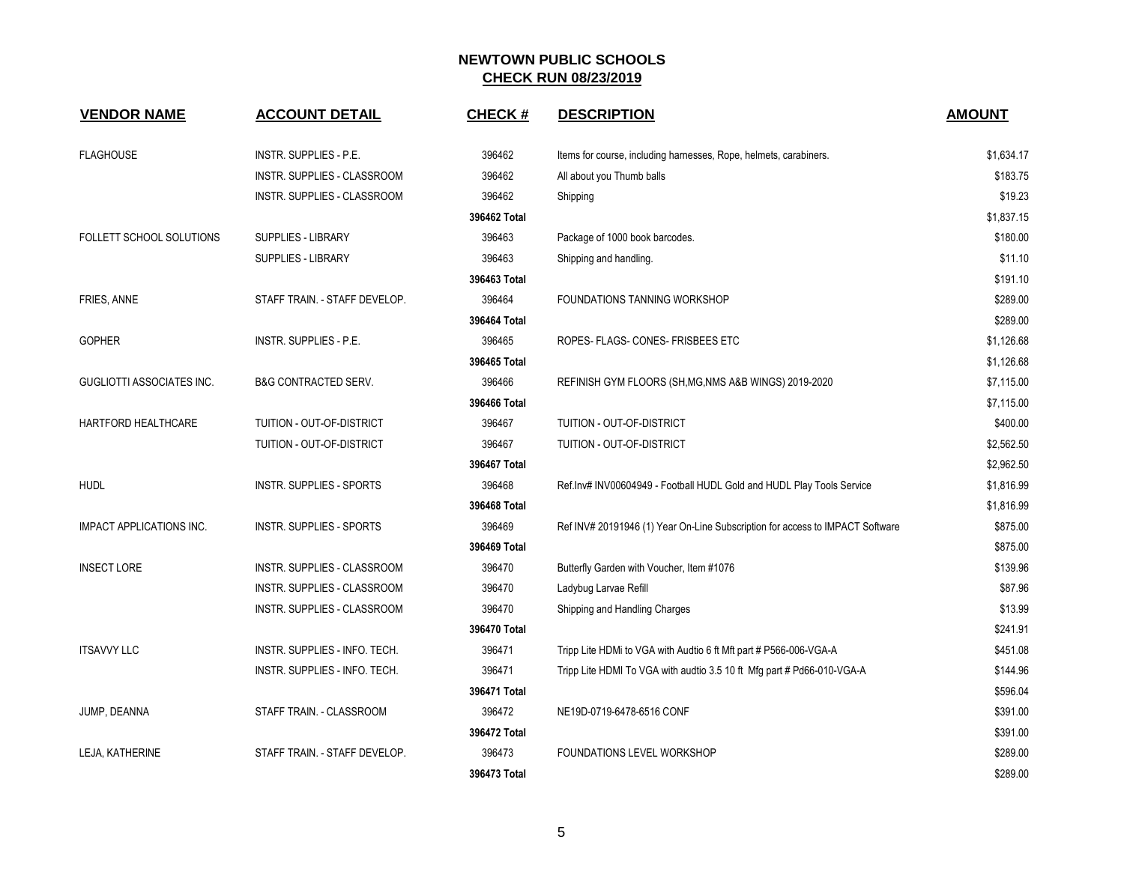| <b>VENDOR NAME</b>               | <b>ACCOUNT DETAIL</b>            | <b>CHECK#</b> | <b>DESCRIPTION</b>                                                            | <b>AMOUNT</b> |
|----------------------------------|----------------------------------|---------------|-------------------------------------------------------------------------------|---------------|
| <b>FLAGHOUSE</b>                 | <b>INSTR. SUPPLIES - P.E.</b>    | 396462        | Items for course, including harnesses, Rope, helmets, carabiners.             | \$1,634.17    |
|                                  | INSTR. SUPPLIES - CLASSROOM      | 396462        | All about you Thumb balls                                                     | \$183.75      |
|                                  | INSTR. SUPPLIES - CLASSROOM      | 396462        | Shipping                                                                      | \$19.23       |
|                                  |                                  | 396462 Total  |                                                                               | \$1,837.15    |
| FOLLETT SCHOOL SOLUTIONS         | <b>SUPPLIES - LIBRARY</b>        | 396463        | Package of 1000 book barcodes.                                                | \$180.00      |
|                                  | SUPPLIES - LIBRARY               | 396463        | Shipping and handling.                                                        | \$11.10       |
|                                  |                                  | 396463 Total  |                                                                               | \$191.10      |
| FRIES, ANNE                      | STAFF TRAIN. - STAFF DEVELOP.    | 396464        | FOUNDATIONS TANNING WORKSHOP                                                  | \$289.00      |
|                                  |                                  | 396464 Total  |                                                                               | \$289.00      |
| <b>GOPHER</b>                    | <b>INSTR. SUPPLIES - P.E.</b>    | 396465        | ROPES- FLAGS- CONES- FRISBEES ETC                                             | \$1,126.68    |
|                                  |                                  | 396465 Total  |                                                                               | \$1,126.68    |
| <b>GUGLIOTTI ASSOCIATES INC.</b> | <b>B&amp;G CONTRACTED SERV.</b>  | 396466        | REFINISH GYM FLOORS (SH, MG, NMS A&B WINGS) 2019-2020                         | \$7,115.00    |
|                                  |                                  | 396466 Total  |                                                                               | \$7,115.00    |
| <b>HARTFORD HEALTHCARE</b>       | <b>TUITION - OUT-OF-DISTRICT</b> | 396467        | TUITION - OUT-OF-DISTRICT                                                     | \$400.00      |
|                                  | TUITION - OUT-OF-DISTRICT        | 396467        | TUITION - OUT-OF-DISTRICT                                                     | \$2,562.50    |
|                                  |                                  | 396467 Total  |                                                                               | \$2,962.50    |
| <b>HUDL</b>                      | INSTR. SUPPLIES - SPORTS         | 396468        | Ref.Inv# INV00604949 - Football HUDL Gold and HUDL Play Tools Service         | \$1,816.99    |
|                                  |                                  | 396468 Total  |                                                                               | \$1,816.99    |
| <b>IMPACT APPLICATIONS INC.</b>  | <b>INSTR. SUPPLIES - SPORTS</b>  | 396469        | Ref INV# 20191946 (1) Year On-Line Subscription for access to IMPACT Software | \$875.00      |
|                                  |                                  | 396469 Total  |                                                                               | \$875.00      |
| <b>INSECT LORE</b>               | INSTR. SUPPLIES - CLASSROOM      | 396470        | Butterfly Garden with Voucher, Item #1076                                     | \$139.96      |
|                                  | INSTR. SUPPLIES - CLASSROOM      | 396470        | Ladybug Larvae Refill                                                         | \$87.96       |
|                                  | INSTR. SUPPLIES - CLASSROOM      | 396470        | Shipping and Handling Charges                                                 | \$13.99       |
|                                  |                                  | 396470 Total  |                                                                               | \$241.91      |
| <b>ITSAVVY LLC</b>               | INSTR. SUPPLIES - INFO. TECH.    | 396471        | Tripp Lite HDMi to VGA with Audtio 6 ft Mft part # P566-006-VGA-A             | \$451.08      |
|                                  | INSTR. SUPPLIES - INFO. TECH.    | 396471        | Tripp Lite HDMI To VGA with audtio 3.5 10 ft Mfg part # Pd66-010-VGA-A        | \$144.96      |
|                                  |                                  | 396471 Total  |                                                                               | \$596.04      |
| JUMP, DEANNA                     | STAFF TRAIN. - CLASSROOM         | 396472        | NE19D-0719-6478-6516 CONF                                                     | \$391.00      |
|                                  |                                  | 396472 Total  |                                                                               | \$391.00      |
| LEJA, KATHERINE                  | STAFF TRAIN. - STAFF DEVELOP.    | 396473        | FOUNDATIONS LEVEL WORKSHOP                                                    | \$289.00      |
|                                  |                                  | 396473 Total  |                                                                               | \$289.00      |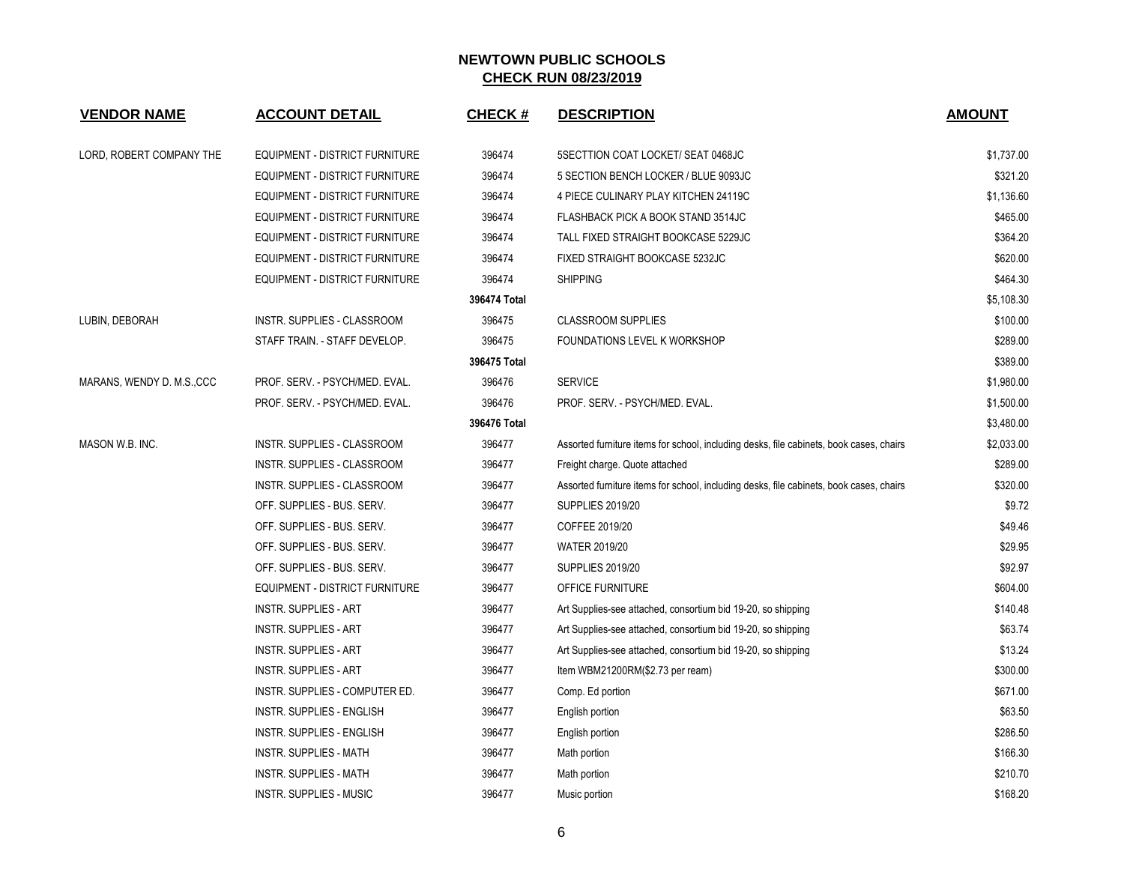| <b>VENDOR NAME</b>        | <b>ACCOUNT DETAIL</b>                 | <b>CHECK#</b> | <b>DESCRIPTION</b>                                                                      | <b>AMOUNT</b> |
|---------------------------|---------------------------------------|---------------|-----------------------------------------------------------------------------------------|---------------|
| LORD, ROBERT COMPANY THE  | EQUIPMENT - DISTRICT FURNITURE        | 396474        | 5SECTTION COAT LOCKET/ SEAT 0468JC                                                      | \$1,737.00    |
|                           | EQUIPMENT - DISTRICT FURNITURE        | 396474        | 5 SECTION BENCH LOCKER / BLUE 9093JC                                                    | \$321.20      |
|                           | EQUIPMENT - DISTRICT FURNITURE        | 396474        | 4 PIECE CULINARY PLAY KITCHEN 24119C                                                    | \$1,136.60    |
|                           | EQUIPMENT - DISTRICT FURNITURE        | 396474        | FLASHBACK PICK A BOOK STAND 3514JC                                                      | \$465.00      |
|                           | <b>EQUIPMENT - DISTRICT FURNITURE</b> | 396474        | TALL FIXED STRAIGHT BOOKCASE 5229JC                                                     | \$364.20      |
|                           | EQUIPMENT - DISTRICT FURNITURE        | 396474        | FIXED STRAIGHT BOOKCASE 5232JC                                                          | \$620.00      |
|                           | EQUIPMENT - DISTRICT FURNITURE        | 396474        | <b>SHIPPING</b>                                                                         | \$464.30      |
|                           |                                       | 396474 Total  |                                                                                         | \$5,108.30    |
| LUBIN, DEBORAH            | INSTR. SUPPLIES - CLASSROOM           | 396475        | <b>CLASSROOM SUPPLIES</b>                                                               | \$100.00      |
|                           | STAFF TRAIN. - STAFF DEVELOP.         | 396475        | FOUNDATIONS LEVEL K WORKSHOP                                                            | \$289.00      |
|                           |                                       | 396475 Total  |                                                                                         | \$389.00      |
| MARANS, WENDY D. M.S.,CCC | PROF. SERV. - PSYCH/MED. EVAL.        | 396476        | <b>SERVICE</b>                                                                          | \$1,980.00    |
|                           | PROF. SERV. - PSYCH/MED. EVAL.        | 396476        | PROF. SERV. - PSYCH/MED. EVAL.                                                          | \$1,500.00    |
|                           |                                       | 396476 Total  |                                                                                         | \$3,480.00    |
| MASON W.B. INC.           | INSTR. SUPPLIES - CLASSROOM           | 396477        | Assorted furniture items for school, including desks, file cabinets, book cases, chairs | \$2,033.00    |
|                           | INSTR. SUPPLIES - CLASSROOM           | 396477        | Freight charge. Quote attached                                                          | \$289.00      |
|                           | INSTR. SUPPLIES - CLASSROOM           | 396477        | Assorted furniture items for school, including desks, file cabinets, book cases, chairs | \$320.00      |
|                           | OFF. SUPPLIES - BUS. SERV.            | 396477        | <b>SUPPLIES 2019/20</b>                                                                 | \$9.72        |
|                           | OFF. SUPPLIES - BUS. SERV.            | 396477        | COFFEE 2019/20                                                                          | \$49.46       |
|                           | OFF. SUPPLIES - BUS. SERV.            | 396477        | <b>WATER 2019/20</b>                                                                    | \$29.95       |
|                           | OFF. SUPPLIES - BUS. SERV.            | 396477        | <b>SUPPLIES 2019/20</b>                                                                 | \$92.97       |
|                           | <b>EQUIPMENT - DISTRICT FURNITURE</b> | 396477        | OFFICE FURNITURE                                                                        | \$604.00      |
|                           | <b>INSTR. SUPPLIES - ART</b>          | 396477        | Art Supplies-see attached, consortium bid 19-20, so shipping                            | \$140.48      |
|                           | <b>INSTR. SUPPLIES - ART</b>          | 396477        | Art Supplies-see attached, consortium bid 19-20, so shipping                            | \$63.74       |
|                           | <b>INSTR. SUPPLIES - ART</b>          | 396477        | Art Supplies-see attached, consortium bid 19-20, so shipping                            | \$13.24       |
|                           | <b>INSTR. SUPPLIES - ART</b>          | 396477        | Item WBM21200RM(\$2.73 per ream)                                                        | \$300.00      |
|                           | INSTR. SUPPLIES - COMPUTER ED.        | 396477        | Comp. Ed portion                                                                        | \$671.00      |
|                           | INSTR. SUPPLIES - ENGLISH             | 396477        | English portion                                                                         | \$63.50       |
|                           | INSTR. SUPPLIES - ENGLISH             | 396477        | English portion                                                                         | \$286.50      |
|                           | <b>INSTR. SUPPLIES - MATH</b>         | 396477        | Math portion                                                                            | \$166.30      |
|                           | INSTR. SUPPLIES - MATH                | 396477        | Math portion                                                                            | \$210.70      |
|                           | <b>INSTR. SUPPLIES - MUSIC</b>        | 396477        | Music portion                                                                           | \$168.20      |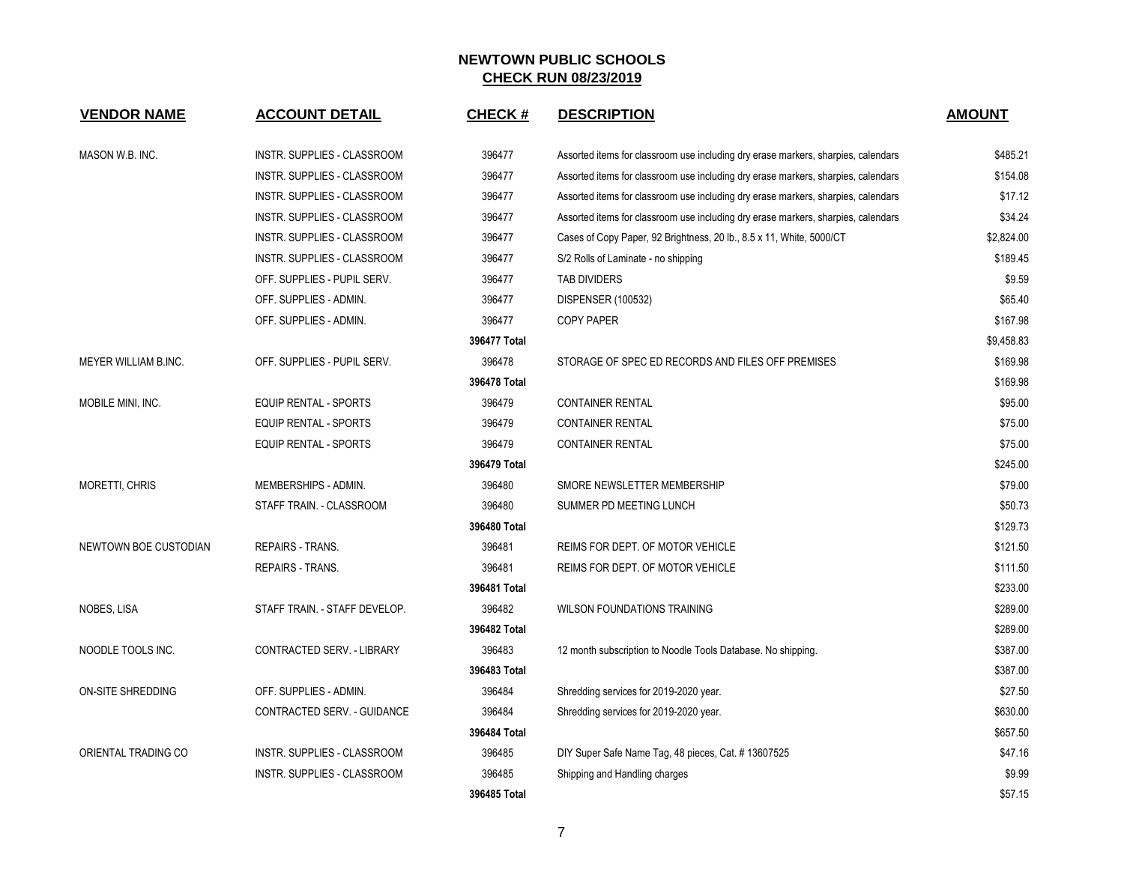| <b>VENDOR NAME</b>    | <b>ACCOUNT DETAIL</b>              | <b>CHECK#</b> | <b>DESCRIPTION</b>                                                                | <b>AMOUNT</b> |
|-----------------------|------------------------------------|---------------|-----------------------------------------------------------------------------------|---------------|
| MASON W.B. INC.       | INSTR. SUPPLIES - CLASSROOM        | 396477        | Assorted items for classroom use including dry erase markers, sharpies, calendars | \$485.21      |
|                       | INSTR. SUPPLIES - CLASSROOM        | 396477        | Assorted items for classroom use including dry erase markers, sharpies, calendars | \$154.08      |
|                       | INSTR. SUPPLIES - CLASSROOM        | 396477        | Assorted items for classroom use including dry erase markers, sharpies, calendars | \$17.12       |
|                       | INSTR. SUPPLIES - CLASSROOM        | 396477        | Assorted items for classroom use including dry erase markers, sharpies, calendars | \$34.24       |
|                       | INSTR. SUPPLIES - CLASSROOM        | 396477        | Cases of Copy Paper, 92 Brightness, 20 lb., 8.5 x 11, White, 5000/CT              | \$2,824.00    |
|                       | <b>INSTR. SUPPLIES - CLASSROOM</b> | 396477        | S/2 Rolls of Laminate - no shipping                                               | \$189.45      |
|                       | OFF. SUPPLIES - PUPIL SERV.        | 396477        | <b>TAB DIVIDERS</b>                                                               | \$9.59        |
|                       | OFF. SUPPLIES - ADMIN.             | 396477        | DISPENSER (100532)                                                                | \$65.40       |
|                       | OFF. SUPPLIES - ADMIN.             | 396477        | <b>COPY PAPER</b>                                                                 | \$167.98      |
|                       |                                    | 396477 Total  |                                                                                   | \$9,458.83    |
| MEYER WILLIAM B.INC.  | OFF. SUPPLIES - PUPIL SERV.        | 396478        | STORAGE OF SPEC ED RECORDS AND FILES OFF PREMISES                                 | \$169.98      |
|                       |                                    | 396478 Total  |                                                                                   | \$169.98      |
| MOBILE MINI, INC.     | <b>EQUIP RENTAL - SPORTS</b>       | 396479        | <b>CONTAINER RENTAL</b>                                                           | \$95.00       |
|                       | EQUIP RENTAL - SPORTS              | 396479        | <b>CONTAINER RENTAL</b>                                                           | \$75.00       |
|                       | <b>EQUIP RENTAL - SPORTS</b>       | 396479        | <b>CONTAINER RENTAL</b>                                                           | \$75.00       |
|                       |                                    | 396479 Total  |                                                                                   | \$245.00      |
| <b>MORETTI, CHRIS</b> | MEMBERSHIPS - ADMIN.               | 396480        | SMORE NEWSLETTER MEMBERSHIP                                                       | \$79.00       |
|                       | STAFF TRAIN. - CLASSROOM           | 396480        | SUMMER PD MEETING LUNCH                                                           | \$50.73       |
|                       |                                    | 396480 Total  |                                                                                   | \$129.73      |
| NEWTOWN BOE CUSTODIAN | <b>REPAIRS - TRANS.</b>            | 396481        | REIMS FOR DEPT. OF MOTOR VEHICLE                                                  | \$121.50      |
|                       | <b>REPAIRS - TRANS.</b>            | 396481        | REIMS FOR DEPT. OF MOTOR VEHICLE                                                  | \$111.50      |
|                       |                                    | 396481 Total  |                                                                                   | \$233.00      |
| NOBES, LISA           | STAFF TRAIN. - STAFF DEVELOP.      | 396482        | <b>WILSON FOUNDATIONS TRAINING</b>                                                | \$289.00      |
|                       |                                    | 396482 Total  |                                                                                   | \$289.00      |
| NOODLE TOOLS INC.     | CONTRACTED SERV. - LIBRARY         | 396483        | 12 month subscription to Noodle Tools Database. No shipping.                      | \$387.00      |
|                       |                                    | 396483 Total  |                                                                                   | \$387.00      |
| ON-SITE SHREDDING     | OFF. SUPPLIES - ADMIN.             | 396484        | Shredding services for 2019-2020 year.                                            | \$27.50       |
|                       | CONTRACTED SERV. - GUIDANCE        | 396484        | Shredding services for 2019-2020 year.                                            | \$630.00      |
|                       |                                    | 396484 Total  |                                                                                   | \$657.50      |
| ORIENTAL TRADING CO   | INSTR. SUPPLIES - CLASSROOM        | 396485        | DIY Super Safe Name Tag, 48 pieces, Cat. # 13607525                               | \$47.16       |
|                       | <b>INSTR. SUPPLIES - CLASSROOM</b> | 396485        | Shipping and Handling charges                                                     | \$9.99        |
|                       |                                    | 396485 Total  |                                                                                   | \$57.15       |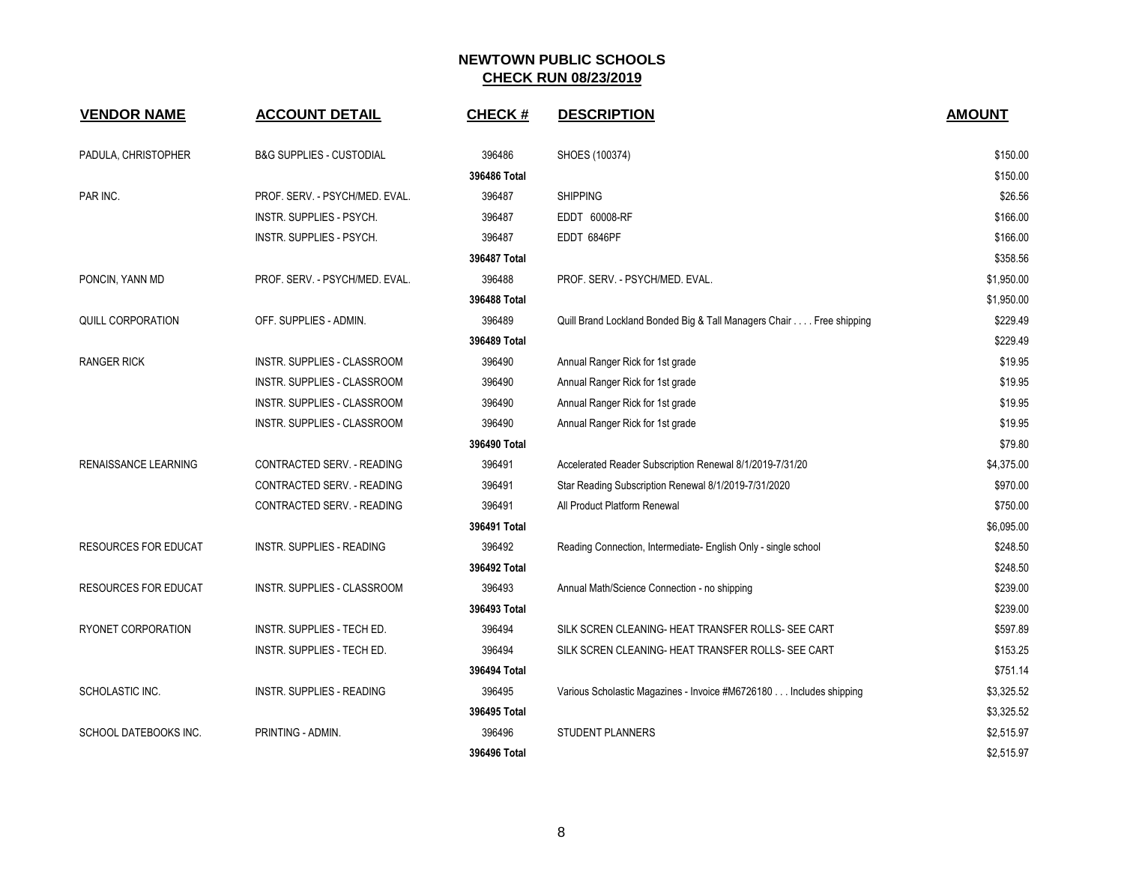| <b>VENDOR NAME</b>          | <b>ACCOUNT DETAIL</b>          | <b>CHECK#</b> | <b>DESCRIPTION</b>                                                  | <b>AMOUNT</b> |
|-----------------------------|--------------------------------|---------------|---------------------------------------------------------------------|---------------|
| PADULA, CHRISTOPHER         | B&G SUPPLIES - CUSTODIAL       | 396486        | SHOES (100374)                                                      | \$150.00      |
|                             |                                | 396486 Total  |                                                                     | \$150.00      |
| PAR INC.                    | PROF. SERV. - PSYCH/MED. EVAL. | 396487        | <b>SHIPPING</b>                                                     | \$26.56       |
|                             | INSTR. SUPPLIES - PSYCH.       | 396487        | EDDT 60008-RF                                                       | \$166.00      |
|                             | INSTR. SUPPLIES - PSYCH.       | 396487        | EDDT 6846PF                                                         | \$166.00      |
|                             |                                | 396487 Total  |                                                                     | \$358.56      |
| PONCIN, YANN MD             | PROF. SERV. - PSYCH/MED. EVAL. | 396488        | PROF. SERV. - PSYCH/MED. EVAL.                                      | \$1,950.00    |
|                             |                                | 396488 Total  |                                                                     | \$1,950.00    |
| <b>QUILL CORPORATION</b>    | OFF. SUPPLIES - ADMIN.         | 396489        | Quill Brand Lockland Bonded Big & Tall Managers Chair Free shipping | \$229.49      |
|                             |                                | 396489 Total  |                                                                     | \$229.49      |
| <b>RANGER RICK</b>          | INSTR. SUPPLIES - CLASSROOM    | 396490        | Annual Ranger Rick for 1st grade                                    | \$19.95       |
|                             | INSTR. SUPPLIES - CLASSROOM    | 396490        | Annual Ranger Rick for 1st grade                                    | \$19.95       |
|                             | INSTR. SUPPLIES - CLASSROOM    | 396490        | Annual Ranger Rick for 1st grade                                    | \$19.95       |
|                             | INSTR. SUPPLIES - CLASSROOM    | 396490        | Annual Ranger Rick for 1st grade                                    | \$19.95       |
|                             |                                | 396490 Total  |                                                                     | \$79.80       |
| <b>RENAISSANCE LEARNING</b> | CONTRACTED SERV. - READING     | 396491        | Accelerated Reader Subscription Renewal 8/1/2019-7/31/20            | \$4,375.00    |
|                             | CONTRACTED SERV. - READING     | 396491        | Star Reading Subscription Renewal 8/1/2019-7/31/2020                | \$970.00      |
|                             | CONTRACTED SERV. - READING     | 396491        | All Product Platform Renewal                                        | \$750.00      |
|                             |                                | 396491 Total  |                                                                     | \$6,095.00    |
| <b>RESOURCES FOR EDUCAT</b> | INSTR. SUPPLIES - READING      | 396492        | Reading Connection, Intermediate- English Only - single school      | \$248.50      |
|                             |                                | 396492 Total  |                                                                     | \$248.50      |
| <b>RESOURCES FOR EDUCAT</b> | INSTR. SUPPLIES - CLASSROOM    | 396493        | Annual Math/Science Connection - no shipping                        | \$239.00      |
|                             |                                | 396493 Total  |                                                                     | \$239.00      |
| RYONET CORPORATION          | INSTR. SUPPLIES - TECH ED.     | 396494        | SILK SCREN CLEANING- HEAT TRANSFER ROLLS- SEE CART                  | \$597.89      |
|                             | INSTR. SUPPLIES - TECH ED.     | 396494        | SILK SCREN CLEANING- HEAT TRANSFER ROLLS- SEE CART                  | \$153.25      |
|                             |                                | 396494 Total  |                                                                     | \$751.14      |
| SCHOLASTIC INC.             | INSTR. SUPPLIES - READING      | 396495        | Various Scholastic Magazines - Invoice #M6726180 Includes shipping  | \$3,325.52    |
|                             |                                | 396495 Total  |                                                                     | \$3,325.52    |
| SCHOOL DATEBOOKS INC.       | PRINTING - ADMIN.              | 396496        | <b>STUDENT PLANNERS</b>                                             | \$2,515.97    |
|                             |                                | 396496 Total  |                                                                     | \$2,515.97    |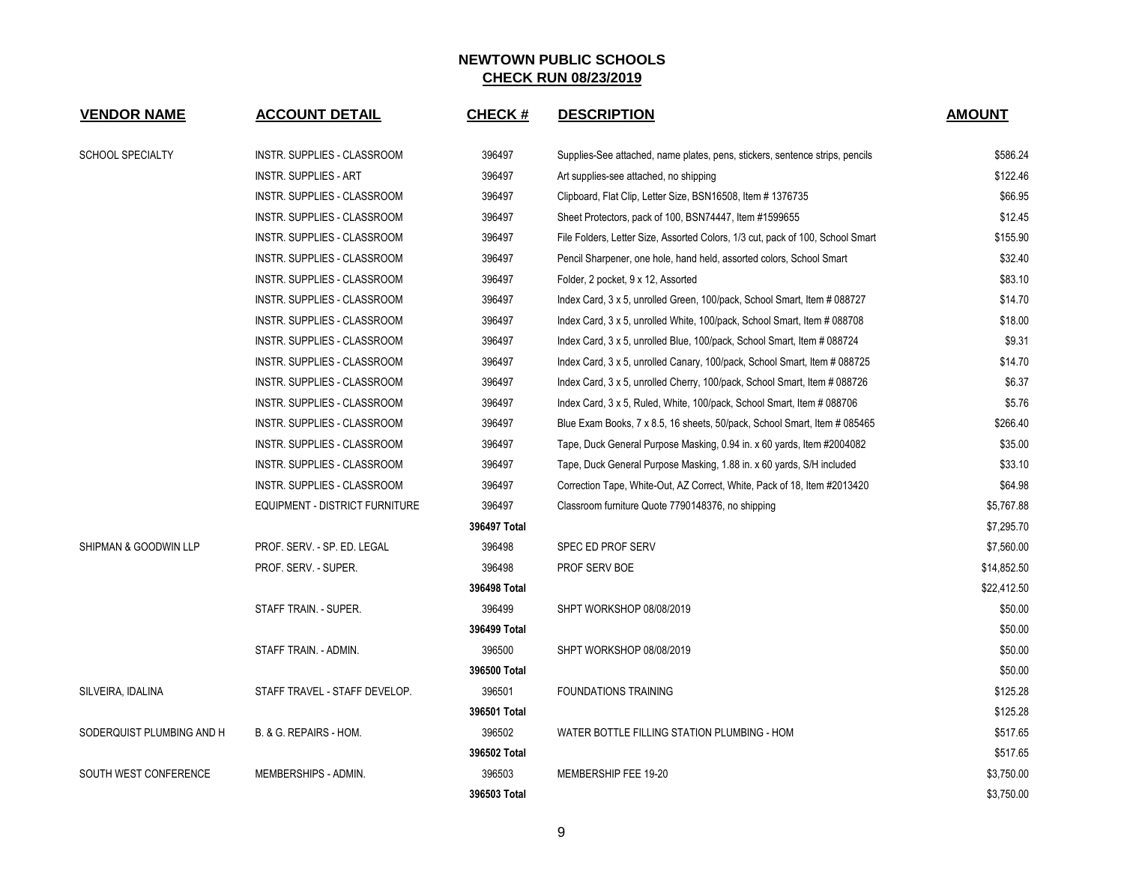| <b>VENDOR NAME</b>        | <b>ACCOUNT DETAIL</b>          | <b>CHECK#</b> | <b>DESCRIPTION</b>                                                             | <b>AMOUNT</b> |
|---------------------------|--------------------------------|---------------|--------------------------------------------------------------------------------|---------------|
| <b>SCHOOL SPECIALTY</b>   | INSTR. SUPPLIES - CLASSROOM    | 396497        | Supplies-See attached, name plates, pens, stickers, sentence strips, pencils   | \$586.24      |
|                           | INSTR. SUPPLIES - ART          | 396497        | Art supplies-see attached, no shipping                                         | \$122.46      |
|                           | INSTR. SUPPLIES - CLASSROOM    | 396497        | Clipboard, Flat Clip, Letter Size, BSN16508, Item #1376735                     | \$66.95       |
|                           | INSTR. SUPPLIES - CLASSROOM    | 396497        | Sheet Protectors, pack of 100, BSN74447, Item #1599655                         | \$12.45       |
|                           | INSTR. SUPPLIES - CLASSROOM    | 396497        | File Folders, Letter Size, Assorted Colors, 1/3 cut, pack of 100, School Smart | \$155.90      |
|                           | INSTR. SUPPLIES - CLASSROOM    | 396497        | Pencil Sharpener, one hole, hand held, assorted colors, School Smart           | \$32.40       |
|                           | INSTR. SUPPLIES - CLASSROOM    | 396497        | Folder, 2 pocket, 9 x 12, Assorted                                             | \$83.10       |
|                           | INSTR. SUPPLIES - CLASSROOM    | 396497        | Index Card, 3 x 5, unrolled Green, 100/pack, School Smart, Item # 088727       | \$14.70       |
|                           | INSTR. SUPPLIES - CLASSROOM    | 396497        | Index Card, 3 x 5, unrolled White, 100/pack, School Smart, Item # 088708       | \$18.00       |
|                           | INSTR. SUPPLIES - CLASSROOM    | 396497        | Index Card, 3 x 5, unrolled Blue, 100/pack, School Smart, Item # 088724        | \$9.31        |
|                           | INSTR. SUPPLIES - CLASSROOM    | 396497        | Index Card, 3 x 5, unrolled Canary, 100/pack, School Smart, Item # 088725      | \$14.70       |
|                           | INSTR. SUPPLIES - CLASSROOM    | 396497        | Index Card, 3 x 5, unrolled Cherry, 100/pack, School Smart, Item # 088726      | \$6.37        |
|                           | INSTR. SUPPLIES - CLASSROOM    | 396497        | Index Card, 3 x 5, Ruled, White, 100/pack, School Smart, Item # 088706         | \$5.76        |
|                           | INSTR. SUPPLIES - CLASSROOM    | 396497        | Blue Exam Books, 7 x 8.5, 16 sheets, 50/pack, School Smart, Item # 085465      | \$266.40      |
|                           | INSTR. SUPPLIES - CLASSROOM    | 396497        | Tape, Duck General Purpose Masking, 0.94 in. x 60 yards, Item #2004082         | \$35.00       |
|                           | INSTR. SUPPLIES - CLASSROOM    | 396497        | Tape, Duck General Purpose Masking, 1.88 in. x 60 yards, S/H included          | \$33.10       |
|                           | INSTR. SUPPLIES - CLASSROOM    | 396497        | Correction Tape, White-Out, AZ Correct, White, Pack of 18, Item #2013420       | \$64.98       |
|                           | EQUIPMENT - DISTRICT FURNITURE | 396497        | Classroom furniture Quote 7790148376, no shipping                              | \$5,767.88    |
|                           |                                | 396497 Total  |                                                                                | \$7,295.70    |
| SHIPMAN & GOODWIN LLP     | PROF. SERV. - SP. ED. LEGAL    | 396498        | <b>SPEC ED PROF SERV</b>                                                       | \$7,560.00    |
|                           | PROF. SERV. - SUPER.           | 396498        | <b>PROF SERV BOE</b>                                                           | \$14,852.50   |
|                           |                                | 396498 Total  |                                                                                | \$22,412.50   |
|                           | STAFF TRAIN. - SUPER.          | 396499        | SHPT WORKSHOP 08/08/2019                                                       | \$50.00       |
|                           |                                | 396499 Total  |                                                                                | \$50.00       |
|                           | STAFF TRAIN. - ADMIN.          | 396500        | SHPT WORKSHOP 08/08/2019                                                       | \$50.00       |
|                           |                                | 396500 Total  |                                                                                | \$50.00       |
| SILVEIRA, IDALINA         | STAFF TRAVEL - STAFF DEVELOP.  | 396501        | <b>FOUNDATIONS TRAINING</b>                                                    | \$125.28      |
|                           |                                | 396501 Total  |                                                                                | \$125.28      |
| SODERQUIST PLUMBING AND H | B. & G. REPAIRS - HOM.         | 396502        | WATER BOTTLE FILLING STATION PLUMBING - HOM                                    | \$517.65      |
|                           |                                | 396502 Total  |                                                                                | \$517.65      |
| SOUTH WEST CONFERENCE     | MEMBERSHIPS - ADMIN.           | 396503        | MEMBERSHIP FEE 19-20                                                           | \$3,750.00    |
|                           |                                | 396503 Total  |                                                                                | \$3,750.00    |